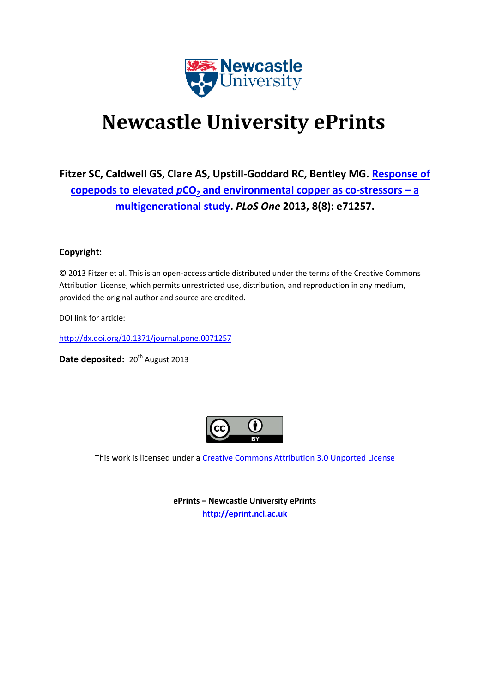

# **Newcastle University ePrints**

**Fitzer SC, Caldwell GS, Clare AS, Upstill-Goddard RC, Bentley MG. [Response of](javascript:ViewPublication(192966);)  copepods to elevated** *p***CO<sup>2</sup> [and environmental copper as co-stressors](javascript:ViewPublication(192966);) – a [multigenerational study.](javascript:ViewPublication(192966);)** *PLoS One* **2013, 8(8): e71257.**

## **Copyright:**

© 2013 Fitzer et al. This is an open-access article distributed under the terms of the Creative Commons Attribution License, which permits unrestricted use, distribution, and reproduction in any medium, provided the original author and source are credited.

DOI link for article:

<http://dx.doi.org/10.1371/journal.pone.0071257>

Date deposited: 20<sup>th</sup> August 2013



This work is licensed under a [Creative Commons Attribution 3.0 Unported License](http://creativecommons.org/licenses/by/3.0/deed.en_GB)

**ePrints – Newcastle University ePrints [http://eprint.ncl.ac.uk](http://eprint.ncl.ac.uk/)**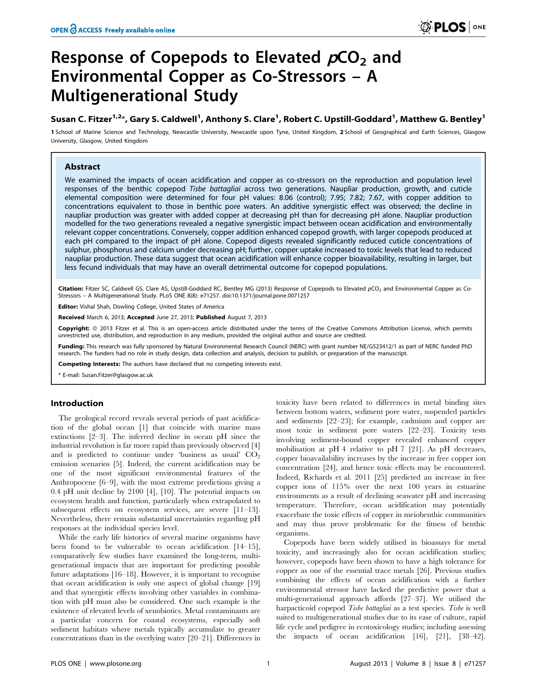# Response of Copepods to Elevated  $pCO<sub>2</sub>$  and Environmental Copper as Co-Stressors – A Multigenerational Study

### Susan C. Fitzer $^{1,2}$ \*, Gary S. Caldwell $^{1}$ , Anthony S. Clare $^{1}$ , Robert C. Upstill-Goddard $^{1}$ , Matthew G. Bentley $^{1}$

1 School of Marine Science and Technology, Newcastle University, Newcastle upon Tyne, United Kingdom, 2 School of Geographical and Earth Sciences, Glasgow University, Glasgow, United Kingdom

#### Abstract

We examined the impacts of ocean acidification and copper as co-stressors on the reproduction and population level responses of the benthic copepod Tisbe battagliai across two generations. Naupliar production, growth, and cuticle elemental composition were determined for four pH values: 8.06 (control); 7.95; 7.82; 7.67, with copper addition to concentrations equivalent to those in benthic pore waters. An additive synergistic effect was observed; the decline in naupliar production was greater with added copper at decreasing pH than for decreasing pH alone. Naupliar production modelled for the two generations revealed a negative synergistic impact between ocean acidification and environmentally relevant copper concentrations. Conversely, copper addition enhanced copepod growth, with larger copepods produced at each pH compared to the impact of pH alone. Copepod digests revealed significantly reduced cuticle concentrations of sulphur, phosphorus and calcium under decreasing pH; further, copper uptake increased to toxic levels that lead to reduced naupliar production. These data suggest that ocean acidification will enhance copper bioavailability, resulting in larger, but less fecund individuals that may have an overall detrimental outcome for copepod populations.

Citation: Fitzer SC, Caldwell GS, Clare AS, Upstill-Goddard RC, Bentley MG (2013) Response of Copepods to Elevated pCO<sub>2</sub> and Environmental Copper as Co-Stressors – A Multigenerational Study. PLoS ONE 8(8): e71257. doi:10.1371/journal.pone.0071257

Editor: Vishal Shah, Dowling College, United States of America

Received March 6, 2013; Accepted June 27, 2013; Published August 7, 2013

Copyright: © 2013 Fitzer et al. This is an open-access article distributed under the terms of the Creative Commons Attribution License, which permits unrestricted use, distribution, and reproduction in any medium, provided the original author and source are credited.

Funding: This research was fully sponsored by Natural Environmental Research Council (NERC) with grant number NE/G523412/1 as part of NERC funded PhD research. The funders had no role in study design, data collection and analysis, decision to publish, or preparation of the manuscript.

Competing Interests: The authors have declared that no competing interests exist.

\* E-mail: Susan.Fitzer@glasgow.ac.uk

#### Introduction

The geological record reveals several periods of past acidification of the global ocean [1] that coincide with marine mass extinctions [2–3]. The inferred decline in ocean pH since the industrial revolution is far more rapid than previously observed [4] and is predicted to continue under 'business as usual'  $CO<sub>2</sub>$ emission scenarios [5]. Indeed, the current acidification may be one of the most significant environmental features of the Anthropocene [6–9], with the most extreme predictions giving a 0.4 pH unit decline by 2100 [4], [10]. The potential impacts on ecosystem health and function, particularly when extrapolated to subsequent effects on ecosystem services, are severe [11–13]. Nevertheless, there remain substantial uncertainties regarding pH responses at the individual species level.

While the early life histories of several marine organisms have been found to be vulnerable to ocean acidification [14–15], comparatively few studies have examined the long-term, multigenerational impacts that are important for predicting possible future adaptations [16–18]. However, it is important to recognise that ocean acidification is only one aspect of global change [19] and that synergistic effects involving other variables in combination with pH must also be considered. One such example is the existence of elevated levels of xenobiotics. Metal contaminants are a particular concern for coastal ecosystems, especially soft sediment habitats where metals typically accumulate to greater concentrations than in the overlying water [20–21]. Differences in

toxicity have been related to differences in metal binding sites between bottom waters, sediment pore water, suspended particles and sediments [22–23]; for example, cadmium and copper are most toxic in sediment pore waters [22–23]. Toxicity tests involving sediment-bound copper revealed enhanced copper mobilisation at pH 4 relative to pH 7 [21]. As pH decreases, copper bioavailability increases by the increase in free copper ion concentration [24], and hence toxic effects may be encountered. Indeed, Richards et al. 2011 [25] predicted an increase in free copper ions of 115% over the next 100 years in estuarine environments as a result of declining seawater pH and increasing temperature. Therefore, ocean acidification may potentially exacerbate the toxic effects of copper in meiobenthic communities and may thus prove problematic for the fitness of benthic organisms.

Copepods have been widely utilised in bioassays for metal toxicity, and increasingly also for ocean acidification studies; however, copepods have been shown to have a high tolerance for copper as one of the essential trace metals [26]. Previous studies combining the effects of ocean acidification with a further environmental stressor have lacked the predictive power that a multi-generational approach affords [27–37]. We utilised the harpacticoid copepod Tisbe battagliai as a test species. Tisbe is well suited to multigenerational studies due to its ease of culture, rapid life cycle and pedigree in ecotoxicology studies; including assessing the impacts of ocean acidification [16], [21], [38–42].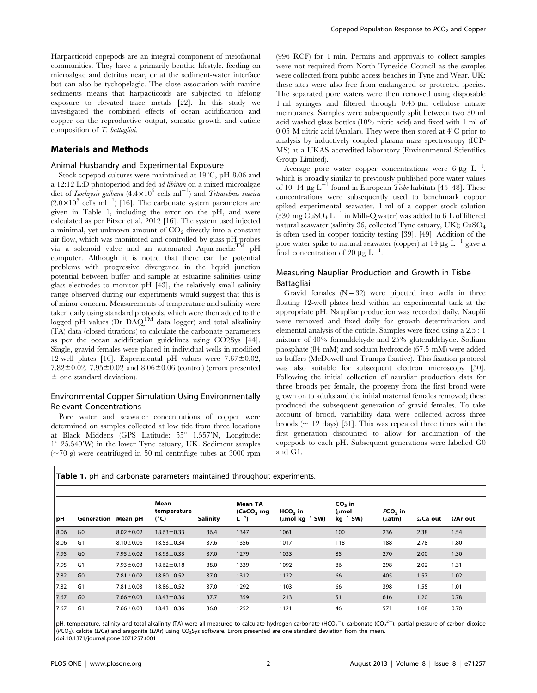Harpacticoid copepods are an integral component of meiofaunal communities. They have a primarily benthic lifestyle, feeding on microalgae and detritus near, or at the sediment-water interface but can also be tychopelagic. The close association with marine sediments means that harpacticoids are subjected to lifelong exposure to elevated trace metals [22]. In this study we investigated the combined effects of ocean acidification and copper on the reproductive output, somatic growth and cuticle composition of T. battagliai.

#### Materials and Methods

#### Animal Husbandry and Experimental Exposure

Stock copepod cultures were maintained at  $19^{\circ}$ C, pH 8.06 and a 12:12 L:D photoperiod and fed ad libitum on a mixed microalgae diet of Isochrysis galbana  $(4.4 \times 10^5 \text{ cells ml}^{-1})$  and Tetraselmis suecica  $(2.0 \times 10^5 \text{ cells m}^{-1})$  [16]. The carbonate system parameters are given in Table 1, including the error on the pH, and were calculated as per Fitzer et al. 2012 [16]. The system used injected a minimal, yet unknown amount of  $CO<sub>2</sub>$  directly into a constant air flow, which was monitored and controlled by glass pH probes via a solenoid valve and an automated Aqua-medic<sup>TM</sup> pH computer. Although it is noted that there can be potential problems with progressive divergence in the liquid junction potential between buffer and sample at estuarine salinities using glass electrodes to monitor pH [43], the relatively small salinity range observed during our experiments would suggest that this is of minor concern. Measurements of temperature and salinity were taken daily using standard protocols, which were then added to the logged pH values (Dr  $\text{DAQ}^{TM}$  data logger) and total alkalinity (TA) data (closed titrations) to calculate the carbonate parameters as per the ocean acidification guidelines using CO2Sys [44]. Single, gravid females were placed in individual wells in modified 12-well plates [16]. Experimental pH values were  $7.67 \pm 0.02$ , 7.82 $\pm$ 0.02, 7.95 $\pm$ 0.02 and 8.06 $\pm$ 0.06 (control) (errors presented  $±$  one standard deviation).

#### Environmental Copper Simulation Using Environmentally Relevant Concentrations

Pore water and seawater concentrations of copper were determined on samples collected at low tide from three locations at Black Middens (GPS Latitude: 55° 1.557'N, Longitude:  $1^\circ$  25.549'W) in the lower Tyne estuary, UK. Sediment samples  $(-70 \text{ g})$  were centrifuged in 50 ml centrifuge tubes at 3000 rpm (996 RCF) for 1 min. Permits and approvals to collect samples were not required from North Tyneside Council as the samples were collected from public access beaches in Tyne and Wear, UK; these sites were also free from endangered or protected species. The separated pore waters were then removed using disposable  $1 \text{ ml}$  syringes and filtered through  $0.45 \text{ µm}$  cellulose nitrate membranes. Samples were subsequently split between two 30 ml acid washed glass bottles (10% nitric acid) and fixed with 1 ml of 0.05 M nitric acid (Analar). They were then stored at  $4^{\circ}$ C prior to analysis by inductively coupled plasma mass spectroscopy (ICP-MS) at a UKAS accredited laboratory (Environmental Scientifics Group Limited).

Average pore water copper concentrations were 6  $\mu$ g L<sup>-1</sup>, which is broadly similar to previously published pore water values of 10–14  $\mu$ g L<sup>-1</sup> found in European *Tisbe* habitats [45–48]. These concentrations were subsequently used to benchmark copper spiked experimental seawater. 1 ml of a copper stock solution (330 mg  $\rm CuSO_4\,L^{-1}$  in Milli-Q water) was added to 6 L of filtered natural seawater (salinity 36, collected Tyne estuary, UK); CuSO4 is often used in copper toxicity testing [39], [49]. Addition of the pore water spike to natural seawater (copper) at  $14 \mu g L^{-1}$  gave a final concentration of 20  $\mu$ g L<sup>-1</sup>.

#### Measuring Naupliar Production and Growth in Tisbe **Battagliai**

Gravid females  $(N = 32)$  were pipetted into wells in three floating 12-well plates held within an experimental tank at the appropriate pH. Naupliar production was recorded daily. Nauplii were removed and fixed daily for growth determination and elemental analysis of the cuticle. Samples were fixed using a 2.5 : 1 mixture of 40% formaldehyde and 25% gluteraldehyde. Sodium phosphate (84 mM) and sodium hydroxide (67.5 mM) were added as buffers (McDowell and Trumps fixative). This fixation protocol was also suitable for subsequent electron microscopy [50]. Following the initial collection of naupliar production data for three broods per female, the progeny from the first brood were grown on to adults and the initial maternal females removed; these produced the subsequent generation of gravid females. To take account of brood, variability data were collected across three broods ( $\sim$  12 days) [51]. This was repeated three times with the first generation discounted to allow for acclimation of the copepods to each pH. Subsequent generations were labelled G0 and G1.

Table 1. pH and carbonate parameters maintained throughout experiments.

| pH   | Generation     | Mean pH         | Mean<br>temperature<br>$(^{\circ}C)$ | Salinity | Mean TA<br>$(CaCO3$ mg<br>$L^{-1}$ | $HCO3$ in<br>( $\mu$ mol kg <sup>-1</sup> SW) | $CO3$ in<br>(umol<br>$kg^{-1}$ SW) | $PCO2$ in<br>(uatm) | $\Omega$ Ca out | $\Omega$ Ar out |
|------|----------------|-----------------|--------------------------------------|----------|------------------------------------|-----------------------------------------------|------------------------------------|---------------------|-----------------|-----------------|
| 8.06 | G <sub>0</sub> | $8.02 \pm 0.02$ | $18.63 \pm 0.33$                     | 36.4     | 1347                               | 1061                                          | 100                                | 236                 | 2.38            | 1.54            |
| 8.06 | G <sub>1</sub> | $8.10 \pm 0.06$ | $18.53 \pm 0.34$                     | 37.6     | 1356                               | 1017                                          | 118                                | 188                 | 2.78            | 1.80            |
| 7.95 | G <sub>0</sub> | $7.95 \pm 0.02$ | $18.93 \pm 0.33$                     | 37.0     | 1279                               | 1033                                          | 85                                 | 270                 | 2.00            | 1.30            |
| 7.95 | G <sub>1</sub> | $7.93 \pm 0.03$ | $18.62 \pm 0.18$                     | 38.0     | 1339                               | 1092                                          | 86                                 | 298                 | 2.02            | 1.31            |
| 7.82 | G <sub>0</sub> | $7.81 \pm 0.02$ | $18.80 \pm 0.52$                     | 37.0     | 1312                               | 1122                                          | 66                                 | 405                 | 1.57            | 1.02            |
| 7.82 | G <sub>1</sub> | $7.81 \pm 0.03$ | $18.86 \pm 0.52$                     | 37.0     | 1292                               | 1103                                          | 66                                 | 398                 | 1.55            | 1.01            |
| 7.67 | G <sub>0</sub> | $7.66 \pm 0.03$ | $18.43 \pm 0.36$                     | 37.7     | 1359                               | 1213                                          | 51                                 | 616                 | 1.20            | 0.78            |
| 7.67 | G <sub>1</sub> | $7.66 \pm 0.03$ | $18.43 \pm 0.36$                     | 36.0     | 1252                               | 1121                                          | 46                                 | 571                 | 1.08            | 0.70            |

pH, temperature, salinity and total alkalinity (TA) were all measured to calculate hydrogen carbonate (HCO<sub>3</sub><sup>-</sup>), carbonate (CO<sub>3</sub><sup>2-</sup>), partial pressure of carbon dioxide  $(PCO<sub>2</sub>)$ , calcite ( $\Omega$ Ca) and aragonite ( $\Omega$ Ar) using CO<sub>2</sub>Sys software. Errors presented are one standard deviation from the mean. doi:10.1371/journal.pone.0071257.t001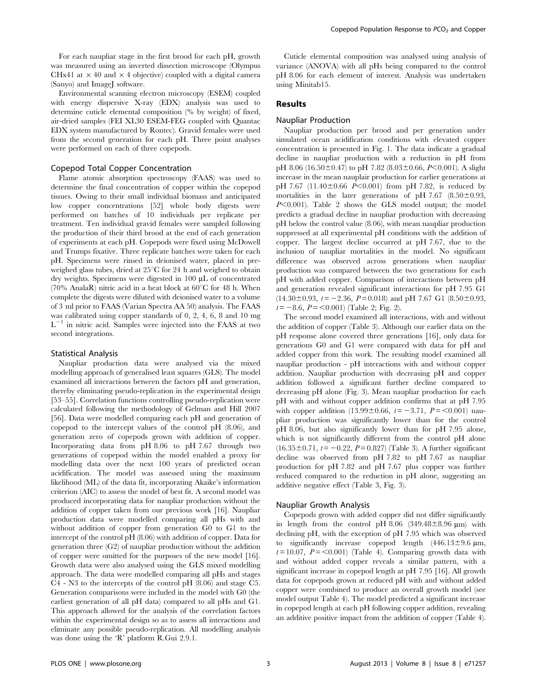For each naupliar stage in the first brood for each pH, growth was measured using an inverted dissection microscope (Olympus CHx41 at  $\times$  40 and  $\times$  4 objective) coupled with a digital camera (Sanyo) and ImageJ software.

Environmental scanning electron microscopy (ESEM) coupled with energy dispersive X-ray (EDX) analysis was used to determine cuticle elemental composition (% by weight) of fixed, air-dried samples (FEI XL30 ESEM-FEG coupled with Quantac EDX system manufactured by Rontec). Gravid females were used from the second generation for each pH. Three point analyses were performed on each of three copepods.

#### Copepod Total Copper Concentration

Flame atomic absorption spectroscopy (FAAS) was used to determine the final concentration of copper within the copepod tissues. Owing to their small individual biomass and anticipated low copper concentrations [52] whole body digests were performed on batches of 10 individuals per replicate per treatment. Ten individual gravid females were sampled following the production of their third brood at the end of each generation of experiments at each pH. Copepods were fixed using McDowell and Trumps fixative. Three replicate batches were taken for each pH. Specimens were rinsed in deionised water, placed in preweighed glass tubes, dried at  $25^{\circ}$ C for 24 h and weighed to obtain dry weights. Specimens were digested in 100  $\mu$ L of concentrated  $(70\% \text{ AnalaR})$  nitric acid in a heat block at  $60^{\circ}$ C for 48 h. When complete the digests were diluted with deionised water to a volume of 3 ml prior to FAAS (Varian Spectra AA 50) analysis. The FAAS was calibrated using copper standards of 0, 2, 4, 6, 8 and 10 mg  $L^{-1}$  in nitric acid. Samples were injected into the FAAS at two second integrations.

#### Statistical Analysis

Naupliar production data were analysed via the mixed modelling approach of generalised least squares (GLS). The model examined all interactions between the factors pH and generation, thereby eliminating pseudo-replication in the experimental design [53–55]. Correlation functions controlling pseudo-replication were calculated following the methodology of Gelman and Hill 2007 [56]. Data were modelled comparing each pH and generation of copepod to the intercept values of the control pH (8.06), and generation zero of copepods grown with addition of copper. Incorporating data from pH 8.06 to pH 7.67 through two generations of copepod within the model enabled a proxy for modelling data over the next 100 years of predicted ocean acidification. The model was assessed using the maximum likelihood (ML) of the data fit, incorporating Akaike's information criterion (AIC) to assess the model of best fit. A second model was produced incorporating data for naupliar production without the addition of copper taken from our previous work [16]. Naupliar production data were modelled comparing all pHs with and without addition of copper from generation G0 to G1 to the intercept of the control pH (8.06) with addition of copper. Data for generation three (G2) of naupliar production without the addition of copper were omitted for the purposes of the new model [16]. Growth data were also analysed using the GLS mixed modelling approach. The data were modelled comparing all pHs and stages C4 - N3 to the intercepts of the control pH (8.06) and stage C5. Generation comparisons were included in the model with G0 (the earliest generation of all pH data) compared to all pHs and G1. This approach allowed for the analysis of the correlation factors within the experimental design so as to assess all interactions and eliminate any possible pseudo-replication. All modelling analysis was done using the 'R' platform R.Gui 2.9.1.

Cuticle elemental composition was analysed using analysis of variance (ANOVA) with all pHs being compared to the control pH 8.06 for each element of interest. Analysis was undertaken using Minitab15.

#### Results

#### Naupliar Production

Naupliar production per brood and per generation under simulated ocean acidification conditions with elevated copper concentration is presented in Fig. 1. The data indicate a gradual decline in naupliar production with a reduction in pH from pH 8.06 (16.50 $\pm$ 0.47) to pH 7.82 (8.03 $\pm$ 0.66, P<0.001). A slight increase in the mean nauplair production for earlier generations at pH 7.67 (11.40 $\pm$ 0.66 P<0.001) from pH 7.82, is reduced by mortalities in the later generations of pH 7.67 (8.50 $\pm$ 0.93,  $P<0.001$ ). Table 2 shows the GLS model output; the model predicts a gradual decline in naupliar production with decreasing pH below the control value (8.06), with mean naupliar production suppressed at all experimental pH conditions with the addition of copper. The largest decline occurred at pH 7.67, due to the inclusion of naupliar mortalities in the model. No significant difference was observed across generations when naupliar production was compared between the two generations for each pH with added copper. Comparison of interactions between pH and generation revealed significant interactions for pH 7.95 G1  $(14.30\pm0.93, t = -2.36, P = 0.018)$  and pH 7.67 G1  $(8.50\pm0.93, t = 0.93, t = 0.93)$  $t = -8.6$ ,  $P = <0.001$  (Table 2; Fig. 2).

The second model examined all interactions, with and without the addition of copper (Table 3). Although our earlier data on the pH response alone covered three generations [16], only data for generations G0 and G1 were compared with data for pH and added copper from this work. The resulting model examined all naupliar production - pH interactions with and without copper addition. Naupliar production with decreasing pH and copper addition followed a significant further decline compared to decreasing pH alone (Fig. 3). Mean naupliar production for each pH with and without copper addition confirms that at pH 7.95 with copper addition (13.99±0.66,  $t = -3.71$ ,  $P = <0.001$ ) naupliar production was significantly lower than for the control pH 8.06, but also significantly lower than for pH 7.95 alone, which is not significantly different from the control pH alone  $(16.35 \pm 0.71, t = -0.22, P = 0.827)$  (Table 3). A further significant decline was observed from pH 7.82 to pH 7.67 as naupliar production for pH 7.82 and pH 7.67 plus copper was further reduced compared to the reduction in pH alone, suggesting an additive negative effect (Table 3, Fig. 3).

#### Naupliar Growth Analysis

Copepods grown with added copper did not differ significantly in length from the control pH 8.06  $(349.48\pm8.96 \text{ }\mu\text{m})$  with declining pH, with the exception of pH 7.95 which was observed to significantly increase copepod length  $(446.13 \pm 9.6 \text{ µm})$ ,  $t = 10.07$ ,  $P = \leq 0.001$  (Table 4). Comparing growth data with and without added copper reveals a similar pattern, with a significant increase in copepod length at pH 7.95 [16]. All growth data for copepods grown at reduced pH with and without added copper were combined to produce an overall growth model (see model output Table 4). The model predicted a significant increase in copepod length at each pH following copper addition, revealing an additive positive impact from the addition of copper (Table 4).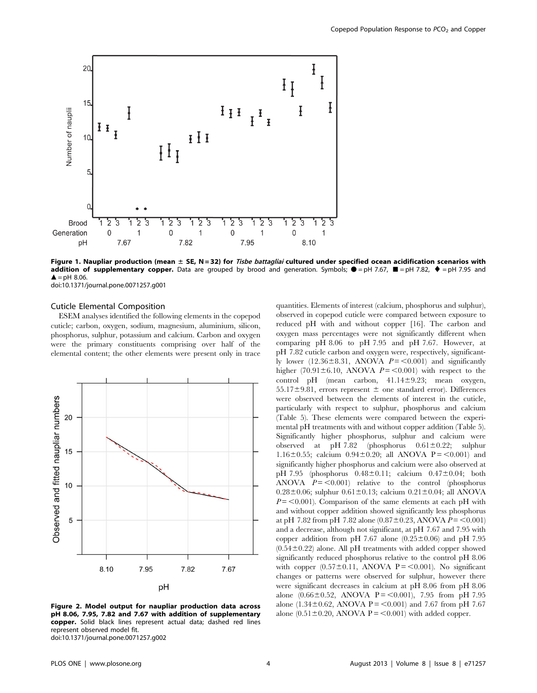

Figure 1. Naupliar production (mean ± SE, N=32) for *Tisbe battagliai* cultured under specified ocean acidification scenarios with<br>addition of supplementary copper. Data are grouped by brood and generation. Symbols; ●=pH **addition of supplementary copper.** Data are grouped by brood and generation. Symbols;  $\bullet$  = pH 7.67,  $\bullet$  = pH 7.82,  $\bullet$  = pH 7.95 and  $\bullet$  = pH 8.06.

doi:10.1371/journal.pone.0071257.g001

#### Cuticle Elemental Composition

ESEM analyses identified the following elements in the copepod cuticle; carbon, oxygen, sodium, magnesium, aluminium, silicon, phosphorus, sulphur, potassium and calcium. Carbon and oxygen were the primary constituents comprising over half of the elemental content; the other elements were present only in trace



Figure 2. Model output for naupliar production data across pH 8.06, 7.95, 7.82 and 7.67 with addition of supplementary copper. Solid black lines represent actual data; dashed red lines represent observed model fit. doi:10.1371/journal.pone.0071257.g002

quantities. Elements of interest (calcium, phosphorus and sulphur), observed in copepod cuticle were compared between exposure to reduced pH with and without copper [16]. The carbon and oxygen mass percentages were not significantly different when comparing pH 8.06 to pH 7.95 and pH 7.67. However, at pH 7.82 cuticle carbon and oxygen were, respectively, significantly lower (12.36 $\pm$ 8.31, ANOVA  $P = \leq 0.001$ ) and significantly higher (70.91 $\pm$ 6.10, ANOVA  $P = \leq 0.001$ ) with respect to the control pH (mean carbon,  $41.14 \pm 9.23$ ; mean oxygen,  $55.17\pm9.81$ , errors represent  $\pm$  one standard error). Differences were observed between the elements of interest in the cuticle, particularly with respect to sulphur, phosphorus and calcium (Table 5). These elements were compared between the experimental pH treatments with and without copper addition (Table 5). Significantly higher phosphorus, sulphur and calcium were observed at pH 7.82 (phosphorus  $0.61 \pm 0.22$ ; sulphur 1.16 $\pm$ 0.55; calcium 0.94 $\pm$ 0.20; all ANOVA P = <0.001) and significantly higher phosphorus and calcium were also observed at pH 7.95 (phosphorus  $0.48 \pm 0.11$ ; calcium  $0.47 \pm 0.04$ ; both ANOVA  $P = \leq 0.001$  relative to the control (phosphorus  $0.28\pm0.06$ ; sulphur  $0.61\pm0.13$ ; calcium  $0.21\pm0.04$ ; all ANOVA  $P = 0.001$ . Comparison of the same elements at each pH with and without copper addition showed significantly less phosphorus at pH 7.82 from pH 7.82 alone  $(0.87 \pm 0.23, ANOVA \, P = 0.001)$ and a decrease, although not significant, at pH 7.67 and 7.95 with copper addition from pH 7.67 alone  $(0.25\pm0.06)$  and pH 7.95  $(0.54\pm0.22)$  alone. All pH treatments with added copper showed significantly reduced phosphorus relative to the control pH 8.06 with copper  $(0.57 \pm 0.11, ANOVA$  P = <0.001). No significant changes or patterns were observed for sulphur, however there were significant decreases in calcium at pH 8.06 from pH 8.06 alone  $(0.66 \pm 0.52, \text{ ANOVA } P = \leq 0.001, 7.95 \text{ from } pH 7.95$ alone (1.34 $\pm$ 0.62, ANOVA P = <0.001) and 7.67 from pH 7.67 alone  $(0.51 \pm 0.20, ANOVA$  P = <0.001) with added copper.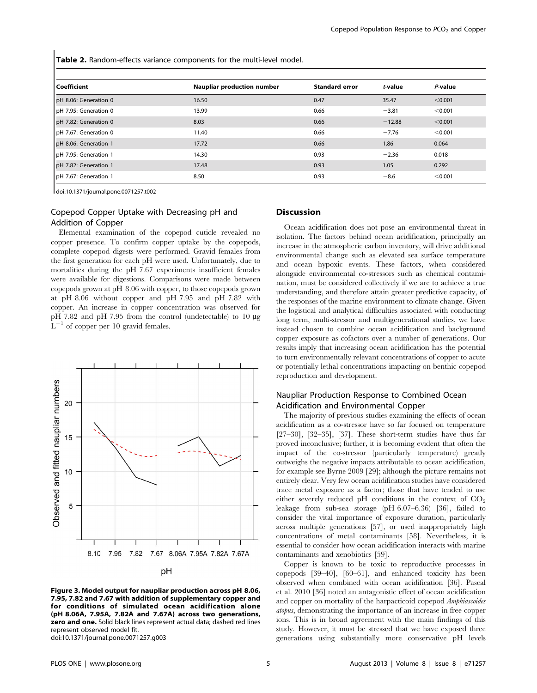Table 2. Random-effects variance components for the multi-level model.

| Coefficient           | <b>Naupliar production number</b> | <b>Standard error</b> | t-value  | P-value |  |
|-----------------------|-----------------------------------|-----------------------|----------|---------|--|
| pH 8.06: Generation 0 | 16.50                             | 0.47                  | 35.47    | < 0.001 |  |
| pH 7.95: Generation 0 | 13.99                             | 0.66                  | $-3.81$  | < 0.001 |  |
| pH 7.82: Generation 0 | 8.03                              | 0.66                  | $-12.88$ | < 0.001 |  |
| pH 7.67: Generation 0 | 11.40                             | 0.66                  | $-7.76$  | < 0.001 |  |
| pH 8.06: Generation 1 | 17.72                             | 0.66                  | 1.86     | 0.064   |  |
| DH 7.95: Generation 1 | 14.30                             | 0.93                  | $-2.36$  | 0.018   |  |
| pH 7.82: Generation 1 | 17.48                             | 0.93                  | 1.05     | 0.292   |  |
| DH 7.67: Generation 1 | 8.50                              | 0.93                  | $-8.6$   | < 0.001 |  |
|                       |                                   |                       |          |         |  |

doi:10.1371/journal.pone.0071257.t002

#### Copepod Copper Uptake with Decreasing pH and Addition of Copper

Elemental examination of the copepod cuticle revealed no copper presence. To confirm copper uptake by the copepods, complete copepod digests were performed. Gravid females from the first generation for each pH were used. Unfortunately, due to mortalities during the pH 7.67 experiments insufficient females were available for digestions. Comparisons were made between copepods grown at pH 8.06 with copper, to those copepods grown at pH 8.06 without copper and pH 7.95 and pH 7.82 with copper. An increase in copper concentration was observed for pH 7.82 and pH 7.95 from the control (undetectable) to 10 µg  $L^{-1}$  of copper per 10 gravid females.



Figure 3. Model output for naupliar production across pH 8.06, 7.95, 7.82 and 7.67 with addition of supplementary copper and for conditions of simulated ocean acidification alone (pH 8.06A, 7.95A, 7.82A and 7.67A) across two generations, **zero and one.** Solid black lines represent actual data; dashed red lines represent observed model fit.

doi:10.1371/journal.pone.0071257.g003

#### Discussion

Ocean acidification does not pose an environmental threat in isolation. The factors behind ocean acidification, principally an increase in the atmospheric carbon inventory, will drive additional environmental change such as elevated sea surface temperature and ocean hypoxic events. These factors, when considered alongside environmental co-stressors such as chemical contamination, must be considered collectively if we are to achieve a true understanding, and therefore attain greater predictive capacity, of the responses of the marine environment to climate change. Given the logistical and analytical difficulties associated with conducting long term, multi-stressor and multigenerational studies, we have instead chosen to combine ocean acidification and background copper exposure as cofactors over a number of generations. Our results imply that increasing ocean acidification has the potential to turn environmentally relevant concentrations of copper to acute or potentially lethal concentrations impacting on benthic copepod reproduction and development.

#### Naupliar Production Response to Combined Ocean Acidification and Environmental Copper

The majority of previous studies examining the effects of ocean acidification as a co-stressor have so far focused on temperature [27–30], [32–35], [37]. These short-term studies have thus far proved inconclusive; further, it is becoming evident that often the impact of the co-stressor (particularly temperature) greatly outweighs the negative impacts attributable to ocean acidification, for example see Byrne 2009 [29]; although the picture remains not entirely clear. Very few ocean acidification studies have considered trace metal exposure as a factor; those that have tended to use either severely reduced pH conditions in the context of  $CO<sub>2</sub>$ leakage from sub-sea storage (pH 6.07–6.36) [36], failed to consider the vital importance of exposure duration, particularly across multiple generations [57], or used inappropriately high concentrations of metal contaminants [58]. Nevertheless, it is essential to consider how ocean acidification interacts with marine contaminants and xenobiotics [59].

Copper is known to be toxic to reproductive processes in copepods [39–40], [60–61], and enhanced toxicity has been observed when combined with ocean acidification [36]. Pascal et al. 2010 [36] noted an antagonistic effect of ocean acidification and copper on mortality of the harpacticoid copepod Amphiascoides atopus, demonstrating the importance of an increase in free copper ions. This is in broad agreement with the main findings of this study. However, it must be stressed that we have exposed three generations using substantially more conservative pH levels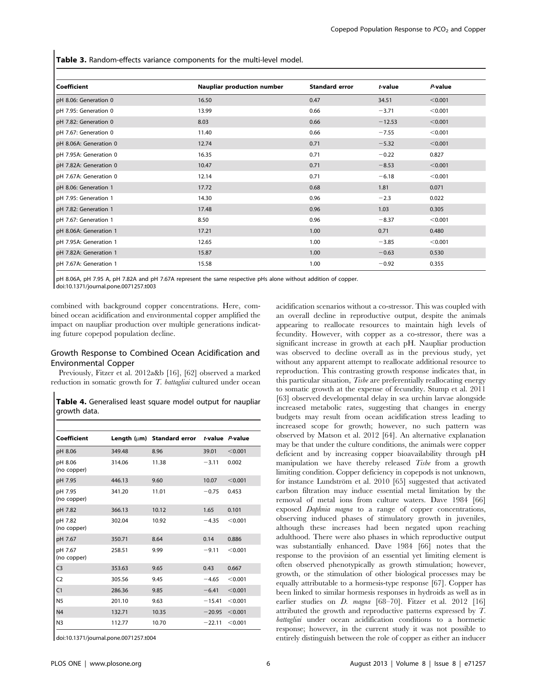Table 3. Random-effects variance components for the multi-level model.

| Coefficient            | <b>Naupliar production number</b> | <b>Standard error</b> | t-value  | P-value |
|------------------------|-----------------------------------|-----------------------|----------|---------|
| pH 8.06: Generation 0  | 16.50                             | 0.47                  | 34.51    | < 0.001 |
| pH 7.95: Generation 0  | 13.99                             | 0.66                  | $-3.71$  | < 0.001 |
| pH 7.82: Generation 0  | 8.03                              | 0.66                  | $-12.53$ | < 0.001 |
| pH 7.67: Generation 0  | 11.40                             | 0.66                  | $-7.55$  | < 0.001 |
| pH 8.06A: Generation 0 | 12.74                             | 0.71                  | $-5.32$  | < 0.001 |
| pH 7.95A: Generation 0 | 16.35                             | 0.71                  | $-0.22$  | 0.827   |
| pH 7.82A: Generation 0 | 10.47                             | 0.71                  | $-8.53$  | < 0.001 |
| pH 7.67A: Generation 0 | 12.14                             | 0.71                  | $-6.18$  | < 0.001 |
| pH 8.06: Generation 1  | 17.72                             | 0.68                  | 1.81     | 0.071   |
| pH 7.95: Generation 1  | 14.30                             | 0.96                  | $-2.3$   | 0.022   |
| pH 7.82: Generation 1  | 17.48                             | 0.96                  | 1.03     | 0.305   |
| pH 7.67: Generation 1  | 8.50                              | 0.96                  | $-8.37$  | < 0.001 |
| pH 8.06A: Generation 1 | 17.21                             | 1.00                  | 0.71     | 0.480   |
| pH 7.95A: Generation 1 | 12.65                             | 1.00                  | $-3.85$  | < 0.001 |
| pH 7.82A: Generation 1 | 15.87                             | 1.00                  | $-0.63$  | 0.530   |
| pH 7.67A: Generation 1 | 15.58                             | 1.00                  | $-0.92$  | 0.355   |
|                        |                                   |                       |          |         |

pH 8.06A, pH 7.95 A, pH 7.82A and pH 7.67A represent the same respective pHs alone without addition of copper. doi:10.1371/journal.pone.0071257.t003

combined with background copper concentrations. Here, combined ocean acidification and environmental copper amplified the impact on naupliar production over multiple generations indicating future copepod population decline.

#### Growth Response to Combined Ocean Acidification and Environmental Copper

Previously, Fitzer et al. 2012a&b [16], [62] observed a marked reduction in somatic growth for T. battagliai cultured under ocean

Table 4. Generalised least square model output for naupliar growth data.

| Coefficient            |        | Length ( $\mu$ m) Standard error t-value P-value |          |         |
|------------------------|--------|--------------------------------------------------|----------|---------|
| pH 8.06                | 349.48 | 8.96                                             | 39.01    | < 0.001 |
| pH 8.06<br>(no copper) | 314.06 | 11.38                                            | $-3.11$  | 0.002   |
| pH 7.95                | 446.13 | 9.60                                             | 10.07    | < 0.001 |
| pH 7.95<br>(no copper) | 341.20 | 11.01                                            | $-0.75$  | 0.453   |
| pH 7.82                | 366.13 | 10.12                                            | 1.65     | 0.101   |
| pH 7.82<br>(no copper) | 302.04 | 10.92                                            | $-4.35$  | < 0.001 |
| pH 7.67                | 350.71 | 8.64                                             | 0.14     | 0.886   |
| pH 7.67<br>(no copper) | 258.51 | 9.99                                             | $-9.11$  | < 0.001 |
| C <sub>3</sub>         | 353.63 | 9.65                                             | 0.43     | 0.667   |
| C <sub>2</sub>         | 305.56 | 9.45                                             | $-4.65$  | < 0.001 |
| C <sub>1</sub>         | 286.36 | 9.85                                             | $-6.41$  | < 0.001 |
| N <sub>5</sub>         | 201.10 | 9.63                                             | $-15.41$ | < 0.001 |
| N <sub>4</sub>         | 132.71 | 10.35                                            | $-20.95$ | < 0.001 |
| N <sub>3</sub>         | 112.77 | 10.70                                            | $-22.11$ | < 0.001 |

doi:10.1371/journal.pone.0071257.t004

acidification scenarios without a co-stressor. This was coupled with an overall decline in reproductive output, despite the animals appearing to reallocate resources to maintain high levels of fecundity. However, with copper as a co-stressor, there was a significant increase in growth at each pH. Naupliar production was observed to decline overall as in the previous study, yet without any apparent attempt to reallocate additional resource to reproduction. This contrasting growth response indicates that, in this particular situation, Tisbe are preferentially reallocating energy to somatic growth at the expense of fecundity. Stump et al. 2011 [63] observed developmental delay in sea urchin larvae alongside increased metabolic rates, suggesting that changes in energy budgets may result from ocean acidification stress leading to increased scope for growth; however, no such pattern was observed by Matson et al. 2012 [64]. An alternative explanation may be that under the culture conditions, the animals were copper deficient and by increasing copper bioavailability through pH manipulation we have thereby released Tisbe from a growth limiting condition. Copper deficiency in copepods is not unknown, for instance Lundström et al. 2010 [65] suggested that activated carbon filtration may induce essential metal limitation by the removal of metal ions from culture waters. Dave 1984 [66] exposed Daphnia magna to a range of copper concentrations, observing induced phases of stimulatory growth in juveniles, although these increases had been negated upon reaching adulthood. There were also phases in which reproductive output was substantially enhanced. Dave 1984 [66] notes that the response to the provision of an essential yet limiting element is often observed phenotypically as growth stimulation; however, growth, or the stimulation of other biological processes may be equally attributable to a hormesis-type response [67]. Copper has been linked to similar hormesis responses in hydroids as well as in earlier studies on *D. magna* [68-70]. Fitzer et al. 2012 [16] attributed the growth and reproductive patterns expressed by T. battagliai under ocean acidification conditions to a hormetic response; however, in the current study it was not possible to entirely distinguish between the role of copper as either an inducer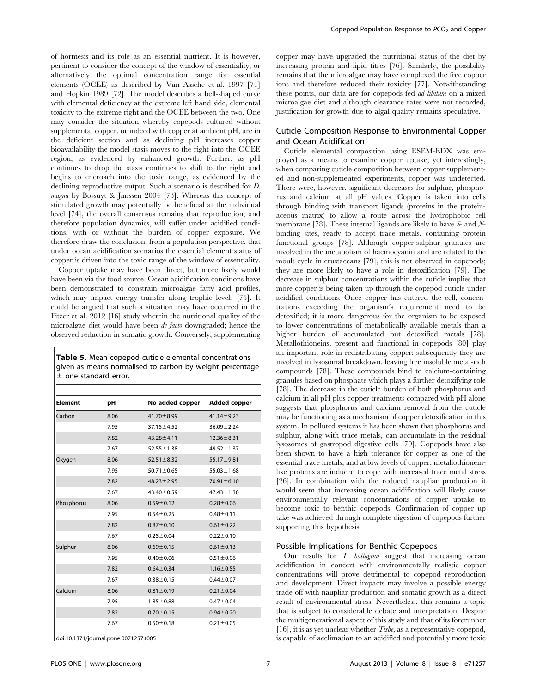of hormesis and its role as an essential nutrient. It is however, pertinent to consider the concept of the window of essentiality, or alternatively the optimal concentration range for essential elements (OCEE) as described by Van Assche et al. 1997 [71] and Hopkin 1989 [72]. The model describes a bell-shaped curve with elemental deficiency at the extreme left hand side, elemental toxicity to the extreme right and the OCEE between the two. One may consider the situation whereby copepods cultured without supplemental copper, or indeed with copper at ambient pH, are in the deficient section and as declining pH increases copper bioavailability the model stasis moves to the right into the OCEE region, as evidenced by enhanced growth. Further, as pH continues to drop the stasis continues to shift to the right and begins to encroach into the toxic range, as evidenced by the declining reproductive output. Such a scenario is described for D. magna by Bossuyt & Janssen 2004 [73]. Whereas this concept of stimulated growth may potentially be beneficial at the individual level [74], the overall consensus remains that reproduction, and therefore population dynamics, will suffer under acidified conditions, with or without the burden of copper exposure. We therefore draw the conclusion, from a population perspective, that under ocean acidification scenarios the essential element status of copper is driven into the toxic range of the window of essentiality.

Copper uptake may have been direct, but more likely would have been via the food source. Ocean acidification conditions have been demonstrated to constrain microalgae fatty acid profiles, which may impact energy transfer along trophic levels [75]. It could be argued that such a situation may have occurred in the Fitzer et al. 2012 [16] study wherein the nutritional quality of the microalgae diet would have been de facto downgraded; hence the observed reduction in somatic growth. Conversely, supplementing

|                           | <b>Table 5.</b> Mean copepod cuticle elemental concentrations |
|---------------------------|---------------------------------------------------------------|
|                           | given as means normalised to carbon by weight percentage      |
| $\pm$ one standard error. |                                                               |

| <b>Element</b> | рH   | No added copper  | <b>Added copper</b> |
|----------------|------|------------------|---------------------|
| Carbon         | 8.06 | $41.70 \pm 8.99$ | $41.14 \pm 9.23$    |
|                | 7.95 | $37.15 \pm 4.52$ | $36.09 \pm 2.24$    |
|                | 7.82 | $43.28 \pm 4.11$ | $12.36 \pm 8.31$    |
|                | 7.67 | $52.55 \pm 1.38$ | $49.52 \pm 1.37$    |
| Oxygen         | 8.06 | $52.51 \pm 8.32$ | $55.17 \pm 9.81$    |
|                | 7.95 | $50.71 \pm 0.65$ | $55.03 \pm 1.68$    |
|                | 7.82 | $48.23 \pm 2.95$ | $70.91 \pm 6.10$    |
|                | 7.67 | $43.40 \pm 0.59$ | $47.43 \pm 1.30$    |
| Phosphorus     | 8.06 | $0.59 \pm 0.12$  | $0.28 \pm 0.06$     |
|                | 7.95 | $0.54 \pm 0.25$  | $0.48 + 0.11$       |
|                | 7.82 | $0.87 \pm 0.10$  | $0.61 \pm 0.22$     |
|                | 7.67 | $0.25 \pm 0.04$  | $0.22 \pm 0.10$     |
| Sulphur        | 8.06 | $0.69 \pm 0.15$  | $0.61 \pm 0.13$     |
|                | 7.95 | $0.40 \pm 0.06$  | $0.51 \pm 0.06$     |
|                | 7.82 | $0.64 \pm 0.34$  | $1.16 \pm 0.55$     |
|                | 7.67 | $0.38 + 0.15$    | $0.44 \pm 0.07$     |
| Calcium        | 8.06 | $0.81 \pm 0.19$  | $0.21 \pm 0.04$     |
|                | 7.95 | $1.85 \pm 0.88$  | $0.47 \pm 0.04$     |
|                | 7.82 | $0.70 \pm 0.15$  | $0.94 \pm 0.20$     |
|                | 7.67 | $0.50 + 0.18$    | $0.21 \pm 0.05$     |

doi:10.1371/journal.pone.0071257.t005

copper may have upgraded the nutritional status of the diet by increasing protein and lipid titres [76]. Similarly, the possibility remains that the microalgae may have complexed the free copper ions and therefore reduced their toxicity [77]. Notwithstanding these points, our data are for copepods fed ad libitum on a mixed microalgae diet and although clearance rates were not recorded, justification for growth due to algal quality remains speculative.

#### Cuticle Composition Response to Environmental Copper and Ocean Acidification

Cuticle elemental composition using ESEM-EDX was employed as a means to examine copper uptake, yet interestingly, when comparing cuticle composition between copper supplemented and non-supplemented experiments, copper was undetected. There were, however, significant decreases for sulphur, phosphorus and calcium at all pH values. Copper is taken into cells through binding with transport ligands (proteins in the proteinaceous matrix) to allow a route across the hydrophobic cell membrane [78]. These internal ligands are likely to have  $S<sub>-</sub>$  and  $N$ binding sites, ready to accept trace metals, containing protein functional groups [78]. Although copper-sulphur granules are involved in the metabolism of haemocyanin and are related to the moult cycle in crustaceans [79], this is not observed in copepods; they are more likely to have a role in detoxification [79]. The decrease in sulphur concentrations within the cuticle implies that more copper is being taken up through the copepod cuticle under acidified conditions. Once copper has entered the cell, concentrations exceeding the organism's requirement need to be detoxified; it is more dangerous for the organism to be exposed to lower concentrations of metabolically available metals than a higher burden of accumulated but detoxified metals [78]. Metallothioneins, present and functional in copepods [80] play an important role in redistributing copper; subsequently they are involved in lysosomal breakdown, leaving free insoluble metal-rich compounds [78]. These compounds bind to calcium-containing granules based on phosphate which plays a further detoxifying role [78]. The decrease in the cuticle burden of both phosphorus and calcium in all pH plus copper treatments compared with pH alone suggests that phosphorus and calcium removal from the cuticle may be functioning as a mechanism of copper detoxification in this system. In polluted systems it has been shown that phosphorus and sulphur, along with trace metals, can accumulate in the residual lysosomes of gastropod digestive cells [79]. Copepods have also been shown to have a high tolerance for copper as one of the essential trace metals, and at low levels of copper, metallothioneinlike proteins are induced to cope with increased trace metal stress [26]. In combination with the reduced naupliar production it would seem that increasing ocean acidification will likely cause environmentally relevant concentrations of copper uptake to become toxic to benthic copepods. Confirmation of copper up take was achieved through complete digestion of copepods further supporting this hypothesis.

#### Possible Implications for Benthic Copepods

Our results for T. *battagliai* suggest that increasing ocean acidification in concert with environmentally realistic copper concentrations will prove detrimental to copepod reproduction and development. Direct impacts may involve a possible energy trade off with naupliar production and somatic growth as a direct result of environmental stress. Nevertheless, this remains a topic that is subject to considerable debate and interpretation. Despite the multigenerational aspect of this study and that of its forerunner [16], it is as yet unclear whether *Tisbe*, as a representative copepod, is capable of acclimation to an acidified and potentially more toxic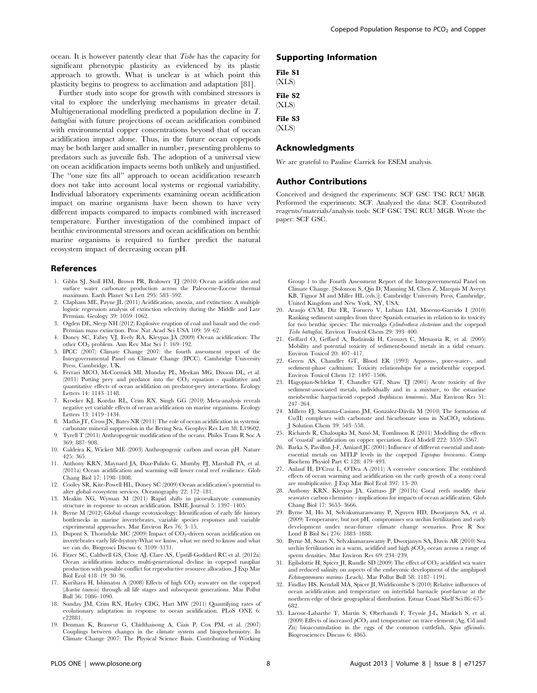ocean. It is however patently clear that Tisbe has the capacity for significant phenotypic plasticity as evidenced by its plastic approach to growth. What is unclear is at which point this plasticity begins to progress to acclimation and adaptation [81].

Further study into scope for growth with combined stressors is vital to explore the underlying mechanisms in greater detail. Multigenerational modelling predicted a population decline in T. battagliai with future projections of ocean acidification combined with environmental copper concentrations beyond that of ocean acidification impact alone. Thus, in the future ocean copepods may be both larger and smaller in number, presenting problems to predators such as juvenile fish. The adoption of a universal view on ocean acidification impacts seems both unlikely and unjustified. The ''one size fits all'' approach to ocean acidification research does not take into account local systems or regional variability. Individual laboratory experiments examining ocean acidification impact on marine organisms have been shown to have very different impacts compared to impacts combined with increased temperature. Further investigation of the combined impact of benthic environmental stressors and ocean acidification on benthic marine organisms is required to further predict the natural ecosystem impact of decreasing ocean pH.

#### References

- 1. Gibbs SJ, Stoll HM, Brown PR, Bralower TJ (2010) Ocean acidification and surface water carbonate production across the Paleocene-Eocene thermal maximum. Earth Planet Sci Lett 295: 583–592.
- 2. Clapham ME, Payne JL (2011) Acidification, anoxia, and extinction: A multiple logistic regression analysis of extinction selectivity during the Middle and Late Permian. Geology 39: 1059–1062.
- 3. Ogden DE, Sleep NH (2012) Explosive eruption of coal and basalt and the end-Permian mass extinction. Proc Nat Acad Sci USA 109: 59–62.
- 4. Doney SC, Fabry VJ, Feely RA, Kleypas JA (2009) Ocean acidification: The other CO2 problem. Ann Rev Mar Sci 1: 169–192.
- 5. IPCC (2007) Climate Change 2007: the fourth assessment report of the Intergovernmental Panel on Climate Change (IPCC). Cambridge University Press, Cambridge, UK.
- 6. Ferrari MCO, McCormick MI, Munday PL, Meekan MG, Dixson DL, et al. (2011) Putting prey and predator into the  $CO<sub>2</sub>$  equation - qualitative and quantitative effects of ocean acidifation on predator-prey interactions. Ecology Letters 14: 1143–1148.
- 7. Kroeker KJ, Kordas RL, Crim RN, Singh GG (2010) Meta-analysis reveals negative yet variable effects of ocean acidification on marine organisms. Ecology Letters 13: 1419–1434.
- 8. Mathis JT, Cross JN, Bates NR (2011) The role of ocean acidification in systemic carbonate mineral suppression in the Bering Sea. Geophys Res Lett 38: L19602.
- 9. Tyrell T (2011) Anthropogenic modification of the oceans. Philos Trans R Soc A 369: 887–908.
- 10. Caldeira K, Wickett ME (2003) Anthropogenic carbon and ocean pH. Nature 425: 365.
- 11. Anthony KRN, Maynard JA, Diaz-Pulido G, Mumby PJ, Marshall PA, et al. (2011a) Ocean acidification and warming will lower coral reef resilience. Glob Chang Biol 17: 1798–1808.
- 12. Cooley SR, Kite-Powell HL, Doney SC (2009) Ocean acidification's potential to alter global ecosystem services. Oceanography 22: 172–181.
- 13. Meakin NG, Wyman M (2011) Rapid shifts in picoeukaryote community structure in response to ocean acidification. ISME Journal 5: 1397–1405.
- 14. Byrne M (2012) Global change ecotoxicology: Identification of early life history bottlenecks in marine invertebrates, variable species responses and variable experimental approaches. Mar Environ Res 76: 3–15.
- 15. Dupont S, Thorndyke MC (2009) Impact of  $CO_2$ -driven ocean acidification on invertebrates early life-hystory-What we know, what we need to know and what we can do. Biogeosci Discuss 6: 3109–3131.
- 16. Fitzer SC, Caldwell GS, Close AJ, Clare AS, Upstill-Goddard RC et al. (2012a) Ocean acidification induces multi-generational decline in copepod naupliar production with possible conflict for reproductive resource allocation. J Exp Mar Biol Ecol 418–19: 30–36.
- 17. Kurihara H, Ishimatsu A (2008) Effects of high  $CO<sub>2</sub>$  seawater on the copepod (Acartia tsuensis) through all life stages and subsequent generations. Mar Pollut Bull 56: 1086–1090.
- 18. Sunday JM, Crim RN, Harley CDG, Hart MW (2011) Quantifying rates of evolutionary adaptation in response to ocean acidification. PLoS ONE 6: e22881.
- 19. Denman K, Brasseur G, Chidthaisong A, Ciais P, Cox PM, et al. (2007) Couplings between changes in the climate system and biogeochemistry. In Climate Change 2007: The Physical Science Basis. Contributing of Working

#### Supporting Information

File S1 (XLS)

File S2 (XLS) File S3

(XLS)

#### Acknowledgments

We are grateful to Pauline Carrick for ESEM analysis.

#### Author Contributions

Conceived and designed the experiments: SCF GSC TSC RCU MGB. Performed the experiments: SCF. Analyzed the data: SCF. Contributed reagents/materials/analysis tools: SCF GSC TSC RCU MGB. Wrote the paper: SCF GSC.

Group 1 to the Fourth Assessment Report of the Intergovernmental Panel on Climate Change. [Solomon S, Qin D, Manning M, Chen Z, Marquis M Averyt KB, Tignor M and Miller HL (eds.)]. Cambridge University Press, Cambridge, United Kingdom and New York, NY, USA.

- 20. Araujo CVM, Diz FR, Tornero V, Lubian LM, Moreno-Garrido I (2010) Ranking sediment samples from three Spanish estuaries in relation to its toxicity for two benthic species: The microalga Cylindrotheca closterium and the copepod Tisbe battagliai. Environ Toxicol Chem 29: 393–400.
- 21. Geffard O, Geffard A, Budzinski H, Crouzet C, Menasria R, et al. (2005) Mobility and potential toxicity of sediment-bound metals in a tidal estuary. Environ Toxicol 20: 407–417.
- 22. Green AS, Chandler GT, Blood ER (1993) Aqueous-, pore-water-, and sediment-phase cadmium: Toxicity relationships for a meiobenthic copepod. Environ Toxicol Chem 12: 1497–1506.
- 23. Hagopian-Schlekat T, Chandler GT, Shaw TJ (2001) Acute toxicity of five sediment-associated metals, individually and in a mixture, to the estuarine meiobenthic harpacticoid copepod Amphiascus tenuiremis. Mar Environ Res 51: 247–264.
- 24. Millero FJ, Santana-Casiano JM, González-Dávila M (2010) The formation of  $Cu(II)$  complexes with carbonate and bicarbonate ions in NaClO<sub>4</sub> solutions. J Solution Chem 39: 543–558.
- 25. Richards R, Chaloupka M, Sano` M, Tomlinson R (2011) Modelling the effects of 'coastal' acidification on copper speciation. Ecol Modell 222: 3559–3567.
- 26. Barka S, Pavillon J-F, Amiard JC (2001) Influence of different essential and nonessential metals on MTLP levels in the copepod Tigriopus brevicornis. Comp Biochem Physiol Part C 128: 479–493.
- 27. Anlauf H, D'Croz L, O'Dea A (2011) A corrosive concoction: The combined effects of ocean warming and acidification on the early growth of a stony coral are multiplicative. J Exp Mar Biol Ecol 397: 13–20.
- 28. Anthony KRN, Kleypas JA, Gattuso JP (2011b) Coral reefs modify their seawater carbon chemistry - implications for impacts of ocean acidification. Glob Chang Biol 17: 3655–3666.
- 29. Byrne M, Ho M, Selvakumaraswamy P, Nguyen HD, Dworjanyn SA, et al. (2009) Temperature, but not pH, compromises sea urchin fertilization and early development under near-future climate change scenarios. Proc R Soc Lond B Biol Sci 276: 1883-1888.
- 30. Byrne M, Soars N, Selvakumaraswamy P, Dworjanyn SA, Davis AR (2010) Sea urchin fertilization in a warm, acidified and high  $pCO_2$  ocean across a range of sperm densities. Mar Environ Res 69: 234–239.
- 31. Egilsdottir H, Spicer JI, Rundle SD (2009) The effect of CO<sub>2</sub> acidified sea water and reduced salinity on aspects of the embryonic development of the amphipod Echinogammarus marinus (Leach). Mar Pollut Bull 58: 1187–1191.
- 32. Findlay HS, Kendall MA, Spicer JI, Widdicombe S (2010) Relative influences of ocean acidification and temperature on intertidal barnacle post-larvae at the northern edge of their geographical distribution. Estuar Coast Shelf Sci 86: 675– 682.
- 33. Lacoue-Labarthe T, Martin S, Oberhansli F, Teyssie J-L, Markich S, et al. (2009) Effects of increased  $pCO_2$  and temperature on trace element (Ag, Cd and Zn) bioaccumulation in the eggs of the common cuttlefish, Sepia officinalis. Biogeosciences Discuss 6: 4865.